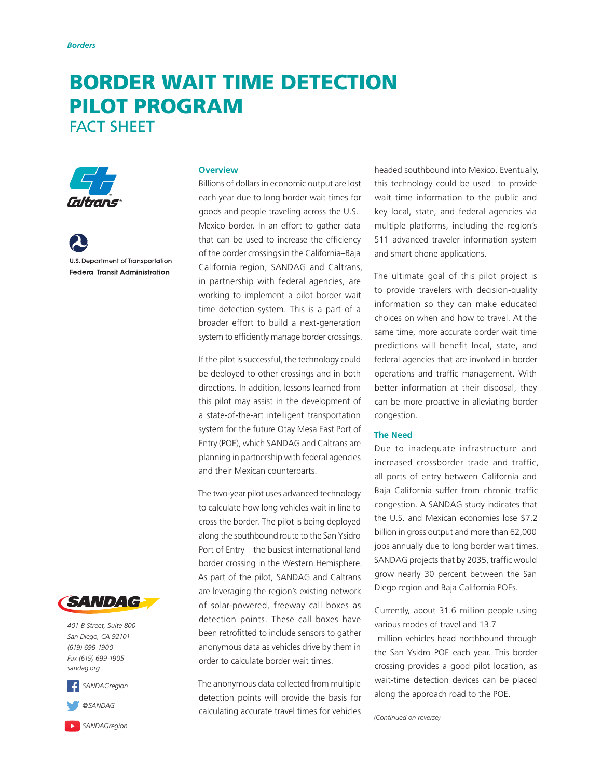# BORDER WAIT TIME DETECTION PILOT PROGRAM

FACT SHEET



**U.S. Department of Transportation Federal Transit Administration** 

### **Overview**

Billions of dollars in economic output are lost each year due to long border wait times for goods and people traveling across the U.S.– Mexico border. In an effort to gather data that can be used to increase the efficiency of the border crossings in the California–Baja California region, SANDAG and Caltrans, in partnership with federal agencies, are working to implement a pilot border wait time detection system. This is a part of a broader effort to build a next-generation system to efficiently manage border crossings.

If the pilot is successful, the technology could be deployed to other crossings and in both directions. In addition, lessons learned from this pilot may assist in the development of a state-of-the-art intelligent transportation system for the future Otay Mesa East Port of Entry (POE), which SANDAG and Caltrans are planning in partnership with federal agencies and their Mexican counterparts.

The two-year pilot uses advanced technology to calculate how long vehicles wait in line to cross the border. The pilot is being deployed along the southbound route to the San Ysidro Port of Entry—the busiest international land border crossing in the Western Hemisphere. As part of the pilot, SANDAG and Caltrans are leveraging the region's existing network of solar-powered, freeway call boxes as detection points. These call boxes have been retrofitted to include sensors to gather anonymous data as vehicles drive by them in order to calculate border wait times.

The anonymous data collected from multiple detection points will provide the basis for calculating accurate travel times for vehicles

headed southbound into Mexico. Eventually, this technology could be used to provide wait time information to the public and key local, state, and federal agencies via multiple platforms, including the region's 511 advanced traveler information system and smart phone applications.

The ultimate goal of this pilot project is to provide travelers with decision-quality information so they can make educated choices on when and how to travel. At the same time, more accurate border wait time predictions will benefit local, state, and federal agencies that are involved in border operations and traffic management. With better information at their disposal, they can be more proactive in alleviating border congestion.

## **The Need**

Due to inadequate infrastructure and increased crossborder trade and traffic, all ports of entry between California and Baja California suffer from chronic traffic congestion. A SANDAG study indicates that the U.S. and Mexican economies lose \$7.2 billion in gross output and more than 62,000 jobs annually due to long border wait times. SANDAG projects that by 2035, traffic would grow nearly 30 percent between the San Diego region and Baja California POEs.

Currently, about 31.6 million people using various modes of travel and 13.7

 million vehicles head northbound through the San Ysidro POE each year. This border crossing provides a good pilot location, as wait-time detection devices can be placed along the approach road to the POE.

*(Continued on reverse)*



*401 B Street, Suite 800 San Diego, CA 92101 (619) 699-1900 Fax (619) 699-1905 [sandag.org](http://www.sandag.org)*



*[SANDAGregion](https://www.youtube.com/user/SANDAGREGION)*